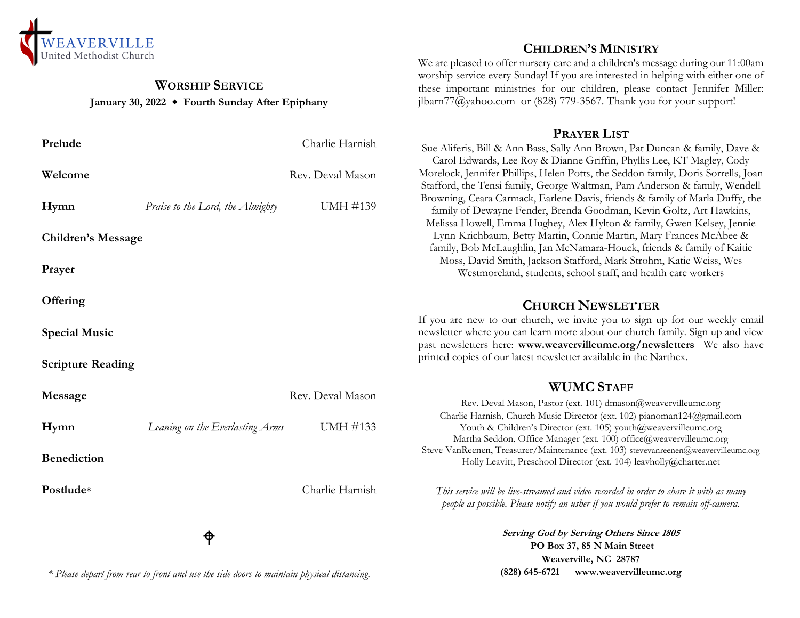

## **WORSHIP SERVICE January 30, 2022 Fourth Sunday After Epiphany**

| Prelude                   |                                  | Charlie Harnish  |
|---------------------------|----------------------------------|------------------|
| Welcome                   |                                  | Rev. Deval Mason |
| Hymn                      | Praise to the Lord, the Almighty | UMH #139         |
| <b>Children's Message</b> |                                  |                  |
| Prayer                    |                                  |                  |
| Offering                  |                                  |                  |
| <b>Special Music</b>      |                                  |                  |
| <b>Scripture Reading</b>  |                                  |                  |
| Message                   |                                  | Rev. Deval Mason |
| Hymn                      | Leaning on the Everlasting Arms  | UMH #133         |
| <b>Benediction</b>        |                                  |                  |
| Postlude*                 |                                  | Charlie Harnish  |
|                           |                                  |                  |

## **CHILDREN'S MINISTRY**

We are pleased to offer nursery care and a children's message during our 11:00am worship service every Sunday! If you are interested in helping with either one of these important ministries for our children, please contact Jennifer Miller: jlbarn $77$ @yahoo.com or (828) 779-3567. Thank you for your support!

#### **PRAYER LIST**

Sue Aliferis, Bill & Ann Bass, Sally Ann Brown, Pat Duncan & family, Dave & Carol Edwards, Lee Roy & Dianne Griffin, Phyllis Lee, KT Magley, Cody Morelock, Jennifer Phillips, Helen Potts, the Seddon family, Doris Sorrells, Joan Stafford, the Tensi family, George Waltman, Pam Anderson & family, Wendell Browning, Ceara Carmack, Earlene Davis, friends & family of Marla Duffy, the family of Dewayne Fender, Brenda Goodman, Kevin Goltz, Art Hawkins, Melissa Howell, Emma Hughey, Alex Hylton & family, Gwen Kelsey, Jennie Lynn Krichbaum, Betty Martin, Connie Martin, Mary Frances McAbee & family, Bob McLaughlin, Jan McNamara-Houck, friends & family of Kaitie Moss, David Smith, Jackson Stafford, Mark Strohm, Katie Weiss, Wes Westmoreland, students, school staff, and health care workers

# **CHURCH NEWSLETTER**

If you are new to our church, we invite you to sign up for our weekly email newsletter where you can learn more about our church family. Sign up and view past newsletters here: **www.weavervilleumc.org/newsletters** We also have printed copies of our latest newsletter available in the Narthex.

# **WUMC STAFF**

Rev. Deval Mason, Pastor (ext. 101) dmason@weavervilleumc.org Charlie Harnish, Church Music Director (ext. 102) pianoman124@gmail.com Youth & Children's Director (ext. 105) youth@weavervilleumc.org Martha Seddon, Office Manager (ext. 100) office@weavervilleumc.org Steve VanReenen, Treasurer/Maintenance (ext. 103) stevevanreenen@weavervilleumc.org Holly Leavitt, Preschool Director (ext. 104) leavholly@charter.net

*This service will be live-streamed and video recorded in order to share it with as many people as possible. Please notify an usher if you would prefer to remain off-camera.*

> **Serving God by Serving Others Since 1805 PO Box 37, 85 N Main Street Weaverville, NC 28787 (828) 645-6721 [www.weavervilleumc.org](http://www.weavervilleumc.org/)**

#### *\* Please depart from rear to front and use the side doors to maintain physical distancing.*

ቀ